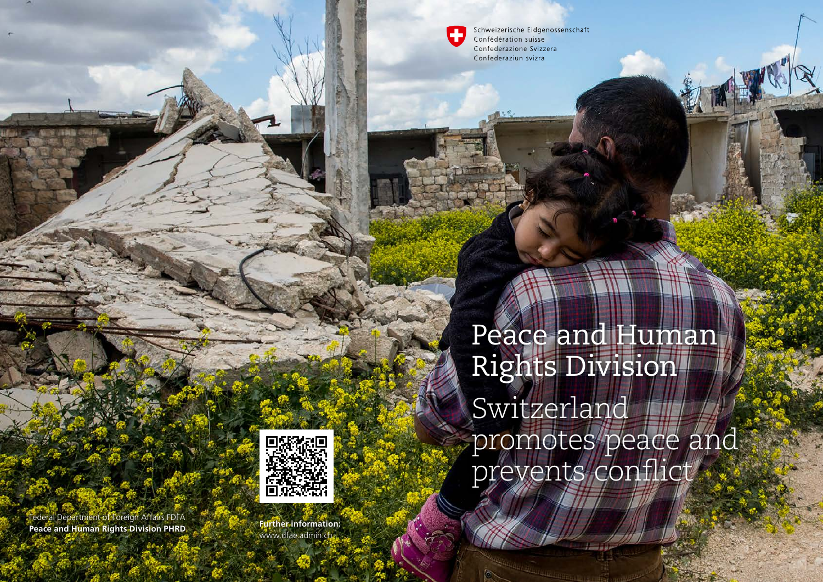Schweizerische Eidgenossenschaft Confédération suisse Confederazione Svizzera Confederaziun svizra



www.dfae.admin.ch

Peace and Human Rights Division Switzerland promotes peace and prevents conflict

南

Federal Department of Foreign Affairs FDFA **Peace and Human Rights Division PHRD Further information:**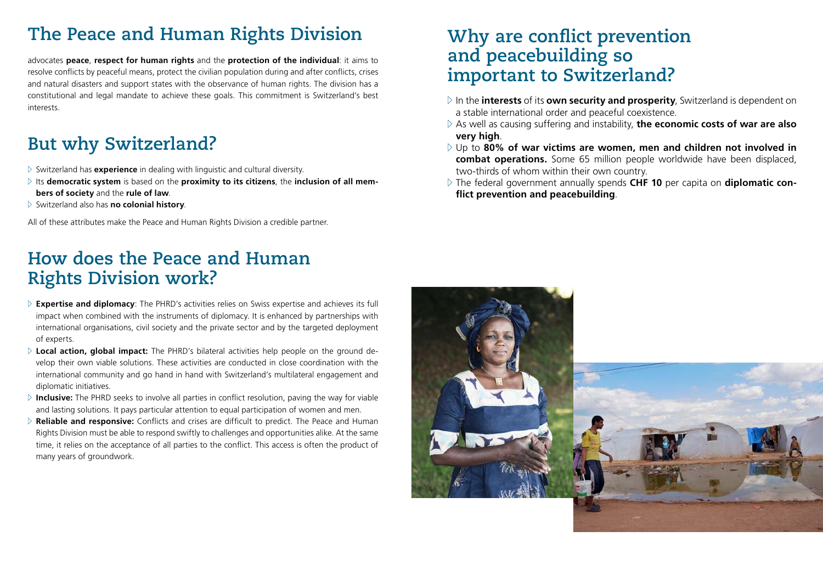# **The Peace and Human Rights Division**

advocates **peace**, **respect for human rights** and the **protection of the individual**: it aims to resolve conflicts by peaceful means, protect the civilian population during and after conflicts, crises and natural disasters and support states with the observance of human rights. The division has a constitutional and legal mandate to achieve these goals. This commitment is Switzerland's best interests.

# **But why Switzerland?**

- $\triangleright$  Switzerland has **experience** in dealing with linguistic and cultural diversity.
- $\triangleright$  Its democratic system is based on the proximity to its citizens, the inclusion of all mem**bers of society** and the **rule of law**.
- <sup>Z</sup> Switzerland also has **no colonial history**.

All of these attributes make the Peace and Human Rights Division a credible partner.

## **How does the Peace and Human Rights Division work?**

- $\triangleright$  **Expertise and diplomacy**: The PHRD's activities relies on Swiss expertise and achieves its full impact when combined with the instruments of diplomacy. It is enhanced by partnerships with international organisations, civil society and the private sector and by the targeted deployment of experts.
- $\triangleright$  Local action, global impact: The PHRD's bilateral activities help people on the ground develop their own viable solutions. These activities are conducted in close coordination with the international community and go hand in hand with Switzerland's multilateral engagement and diplomatic initiatives.
- $\triangleright$  **Inclusive:** The PHRD seeks to involve all parties in conflict resolution, paving the way for viable and lasting solutions. It pays particular attention to equal participation of women and men.
- $\triangleright$  **Reliable and responsive:** Conflicts and crises are difficult to predict. The Peace and Human Rights Division must be able to respond swiftly to challenges and opportunities alike. At the same time, it relies on the acceptance of all parties to the conflict. This access is often the product of many years of groundwork.

#### **Why are conflict prevention and peacebuilding so important to Switzerland?**

- $\triangleright$  In the **interests** of its **own security and prosperity**, Switzerland is dependent on a stable international order and peaceful coexistence.
- $\triangleright$  As well as causing suffering and instability, the economic costs of war are also **very high**.
- $\triangleright$  Up to 80% of war victims are women, men and children not involved in **combat operations.** Some 65 million people worldwide have been displaced, two-thirds of whom within their own country.
- $\triangleright$  The federal government annually spends **CHF 10** per capita on **diplomatic conflict prevention and peacebuilding**.

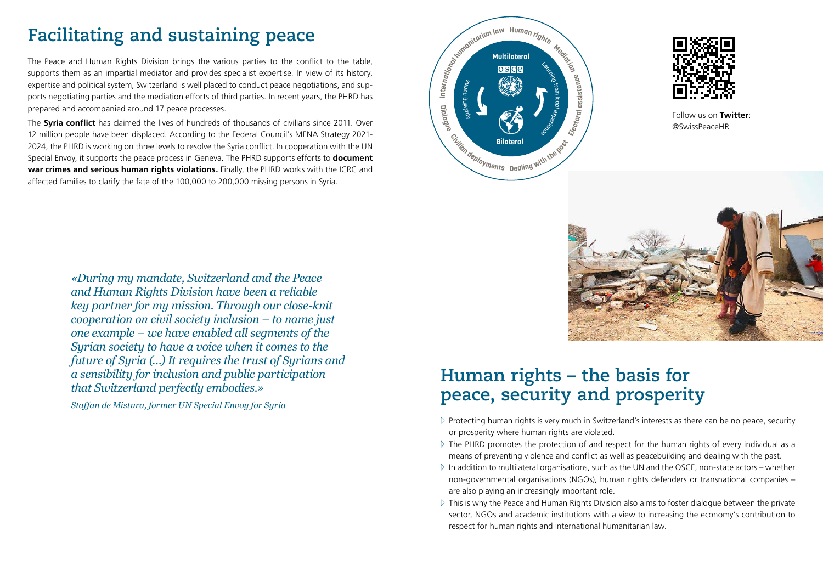# **Facilitating and sustaining peace**

The Peace and Human Rights Division brings the various parties to the conflict to the table, supports them as an impartial mediator and provides specialist expertise. In view of its history, expertise and political system, Switzerland is well placed to conduct peace negotiations, and supports negotiating parties and the mediation efforts of third parties. In recent years, the PHRD has prepared and accompanied around 17 peace processes.

The **Syria conflict** has claimed the lives of hundreds of thousands of civilians since 2011. Over 12 million people have been displaced. According to the Federal Council's MENA Strategy 2021- 2024, the PHRD is working on three levels to resolve the Syria conflict. In cooperation with the UN Special Envoy, it supports the peace process in Geneva. The PHRD supports efforts to **document war crimes and serious human rights violations.** Finally, the PHRD works with the ICRC and affected families to clarify the fate of the 100,000 to 200,000 missing persons in Syria.





Follow us on **Twitter**: @SwissPeaceHR



*«During my mandate, Switzerland and the Peace and Human Rights Division have been a reliable key partner for my mission. Through our close-knit cooperation on civil society inclusion – to name just one example – we have enabled all segments of the Syrian society to have a voice when it comes to the future of Syria (…) It requires the trust of Syrians and a sensibility for inclusion and public participation that Switzerland perfectly embodies.»*

*Staffan de Mistura, former UN Special Envoy for Syria*

## **Human rights – the basis for peace, security and prosperity**

- $\triangleright$  Protecting human rights is very much in Switzerland's interests as there can be no peace, security or prosperity where human rights are violated.
- $\triangleright$  The PHRD promotes the protection of and respect for the human rights of every individual as a means of preventing violence and conflict as well as peacebuilding and dealing with the past.
- $\triangleright$  In addition to multilateral organisations, such as the UN and the OSCE, non-state actors whether non-governmental organisations (NGOs), human rights defenders or transnational companies – are also playing an increasingly important role.
- $\triangleright$  This is why the Peace and Human Rights Division also aims to foster dialogue between the private sector, NGOs and academic institutions with a view to increasing the economy's contribution to respect for human rights and international humanitarian law.